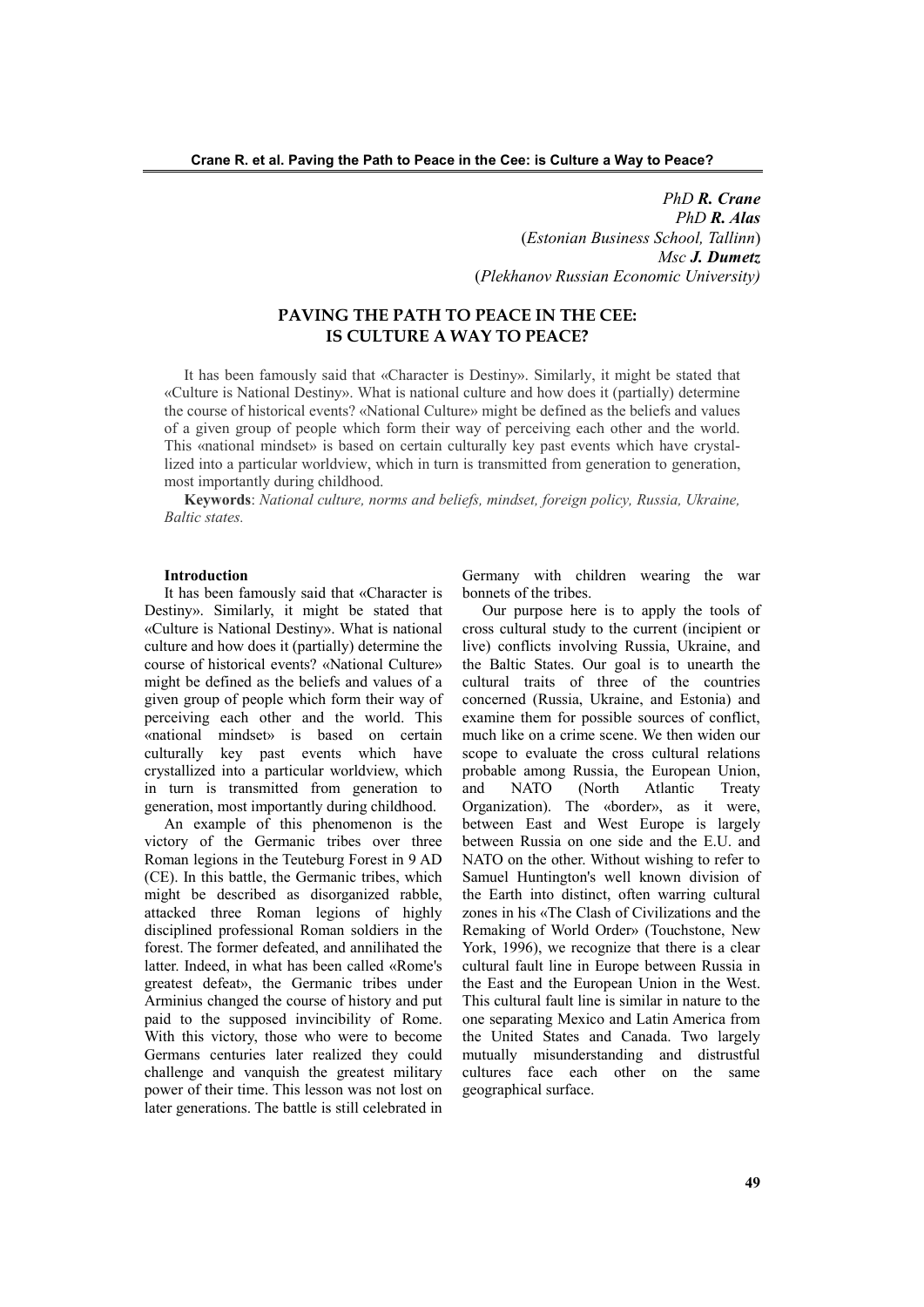*PhD R. Crane PhD R. Alas* (*Estonian Business School, Tallinn*) *Msc J. Dumetz* (*Plekhanov Russian Economic University)*

# **PAVING THE PATH TO PEACE IN THE CEE: IS CULTURE A WAY TO PEACE?**

It has been famously said that «Character is Destiny». Similarly, it might be stated that «Culture is National Destiny». What is national culture and how does it (partially) determine the course of historical events? «National Culture» might be defined as the beliefs and values of a given group of people which form their way of perceiving each other and the world. This «national mindset» is based on certain culturally key past events which have crystallized into a particular worldview, which in turn is transmitted from generation to generation, most importantly during childhood.

**Keywords**: *National culture, norms and beliefs, mindset, foreign policy, Russia, Ukraine, Baltic states.*

### **Introduction**

It has been famously said that «Character is Destiny». Similarly, it might be stated that «Culture is National Destiny». What is national culture and how does it (partially) determine the course of historical events? «National Culture» might be defined as the beliefs and values of a given group of people which form their way of perceiving each other and the world. This «national mindset» is based on certain culturally key past events which have crystallized into a particular worldview, which in turn is transmitted from generation to generation, most importantly during childhood.

An example of this phenomenon is the victory of the Germanic tribes over three Roman legions in the Teuteburg Forest in 9 AD (CE). In this battle, the Germanic tribes, which might be described as disorganized rabble, attacked three Roman legions of highly disciplined professional Roman soldiers in the forest. The former defeated, and annilihated the latter. Indeed, in what has been called «Rome's greatest defeat», the Germanic tribes under Arminius changed the course of history and put paid to the supposed invincibility of Rome. With this victory, those who were to become Germans centuries later realized they could challenge and vanquish the greatest military power of their time. This lesson was not lost on later generations. The battle is still celebrated in

Germany with children wearing the war bonnets of the tribes.

Our purpose here is to apply the tools of cross cultural study to the current (incipient or live) conflicts involving Russia, Ukraine, and the Baltic States. Our goal is to unearth the cultural traits of three of the countries concerned (Russia, Ukraine, and Estonia) and examine them for possible sources of conflict, much like on a crime scene. We then widen our scope to evaluate the cross cultural relations probable among Russia, the European Union, and NATO (North Atlantic Treaty Organization). The «border», as it were, between East and West Europe is largely between Russia on one side and the E.U. and NATO on the other. Without wishing to refer to Samuel Huntington's well known division of the Earth into distinct, often warring cultural zones in his «The Clash of Civilizations and the Remaking of World Order» (Touchstone, New York, 1996), we recognize that there is a clear cultural fault line in Europe between Russia in the East and the European Union in the West. This cultural fault line is similar in nature to the one separating Mexico and Latin America from the United States and Canada. Two largely mutually misunderstanding and distrustful cultures face each other on the same geographical surface.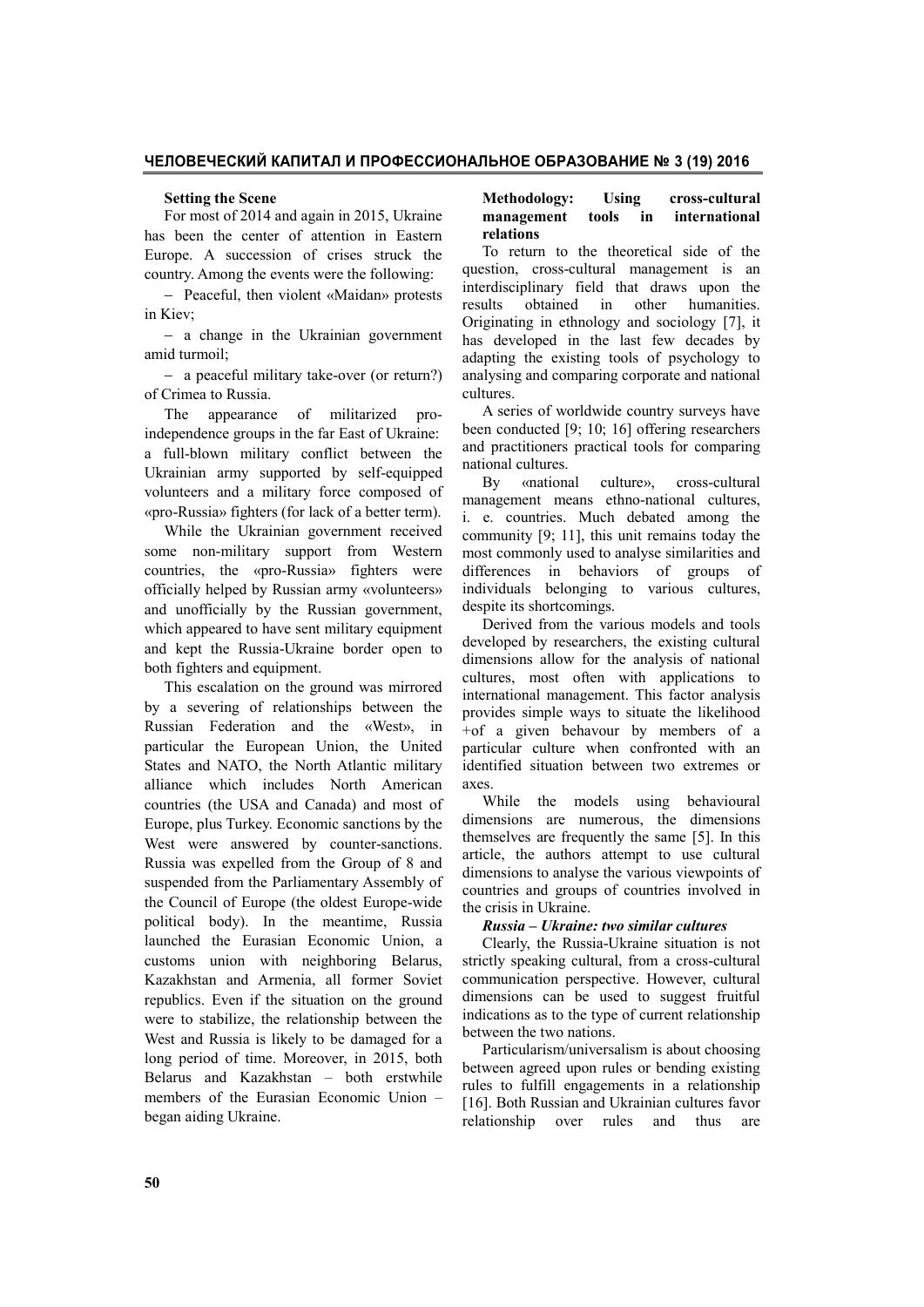### **ЧЕЛОВЕЧЕСКИЙ КАПИТАЛ И ПРОФЕССИОНАЛЬНОЕ ОБРАЗОВАНИЕ № 3 (19) 2016**

#### **Setting the Scene**

For most of 2014 and again in 2015, Ukraine has been the center of attention in Eastern Europe. A succession of crises struck the country. Among the events were the following:

- Peaceful, then violent «Maidan» protests in Kiev;

- a change in the Ukrainian government amid turmoil;

- a peaceful military take-over (or return?) of Crimea to Russia.

The appearance of militarized proindependence groups in the far East of Ukraine: a full-blown military conflict between the Ukrainian army supported by self-equipped volunteers and a military force composed of «pro-Russia» fighters (for lack of a better term).

While the Ukrainian government received some non-military support from Western countries, the «pro-Russia» fighters were officially helped by Russian army «volunteers» and unofficially by the Russian government, which appeared to have sent military equipment and kept the Russia-Ukraine border open to both fighters and equipment.

This escalation on the ground was mirrored by a severing of relationships between the Russian Federation and the «West», in particular the European Union, the United States and NATO, the North Atlantic military alliance which includes North American countries (the USA and Canada) and most of Europe, plus Turkey. Economic sanctions by the West were answered by counter-sanctions. Russia was expelled from the Group of 8 and suspended from the Parliamentary Assembly of the Council of Europe (the oldest Europe-wide political body). In the meantime, Russia launched the Eurasian Economic Union, a customs union with neighboring Belarus, Kazakhstan and Armenia, all former Soviet republics. Even if the situation on the ground were to stabilize, the relationship between the West and Russia is likely to be damaged for a long period of time. Moreover, in 2015, both Belarus and Kazakhstan – both erstwhile members of the Eurasian Economic Union – began aiding Ukraine.

### **Methodology: Using cross-cultural management tools in international relations**

To return to the theoretical side of the question, cross-cultural management is an interdisciplinary field that draws upon the results obtained in other humanities. Originating in ethnology and sociology [7], it has developed in the last few decades by adapting the existing tools of psychology to analysing and comparing corporate and national cultures.

A series of worldwide country surveys have been conducted [9; 10; 16] offering researchers and practitioners practical tools for comparing national cultures.

By «national culture», cross-cultural management means ethno-national cultures, i. e. countries. Much debated among the community [9; 11], this unit remains today the most commonly used to analyse similarities and differences in behaviors of groups of individuals belonging to various cultures, despite its shortcomings.

Derived from the various models and tools developed by researchers, the existing cultural dimensions allow for the analysis of national cultures, most often with applications to international management. This factor analysis provides simple ways to situate the likelihood +of a given behavour by members of a particular culture when confronted with an identified situation between two extremes or axes.

While the models using behavioural dimensions are numerous, the dimensions themselves are frequently the same [5]. In this article, the authors attempt to use cultural dimensions to analyse the various viewpoints of countries and groups of countries involved in the crisis in Ukraine.

### *Russia – Ukraine: two similar cultures*

Clearly, the Russia-Ukraine situation is not strictly speaking cultural, from a cross-cultural communication perspective. However, cultural dimensions can be used to suggest fruitful indications as to the type of current relationship between the two nations.

Particularism/universalism is about choosing between agreed upon rules or bending existing rules to fulfill engagements in a relationship [16]. Both Russian and Ukrainian cultures favor relationship over rules and thus are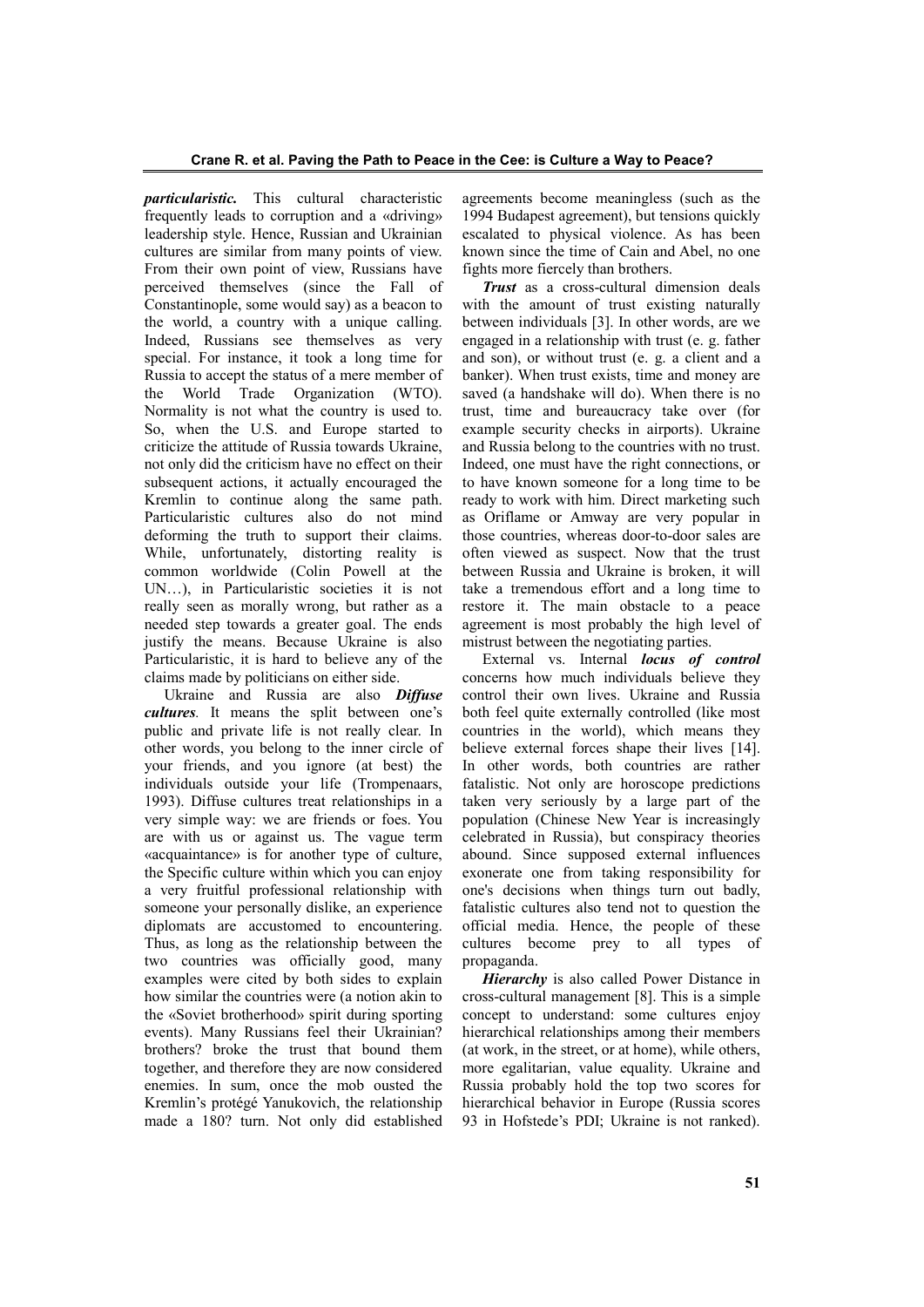*particularistic.* This cultural characteristic frequently leads to corruption and a «driving» leadership style. Hence, Russian and Ukrainian cultures are similar from many points of view. From their own point of view, Russians have perceived themselves (since the Fall of Constantinople, some would say) as a beacon to the world, a country with a unique calling. Indeed, Russians see themselves as very special. For instance, it took a long time for Russia to accept the status of a mere member of the World Trade Organization (WTO). Normality is not what the country is used to. So, when the U.S. and Europe started to criticize the attitude of Russia towards Ukraine, not only did the criticism have no effect on their subsequent actions, it actually encouraged the Kremlin to continue along the same path. Particularistic cultures also do not mind deforming the truth to support their claims. While, unfortunately, distorting reality is common worldwide (Colin Powell at the UN…), in Particularistic societies it is not really seen as morally wrong, but rather as a needed step towards a greater goal. The ends justify the means. Because Ukraine is also Particularistic, it is hard to believe any of the claims made by politicians on either side.

Ukraine and Russia are also *Diffuse cultures.* It means the split between one's public and private life is not really clear. In other words, you belong to the inner circle of your friends, and you ignore (at best) the individuals outside your life (Trompenaars, 1993). Diffuse cultures treat relationships in a very simple way: we are friends or foes. You are with us or against us. The vague term «acquaintance» is for another type of culture, the Specific culture within which you can enjoy a very fruitful professional relationship with someone your personally dislike, an experience diplomats are accustomed to encountering. Thus, as long as the relationship between the two countries was officially good, many examples were cited by both sides to explain how similar the countries were (a notion akin to the «Soviet brotherhood» spirit during sporting events). Many Russians feel their Ukrainian? brothers? broke the trust that bound them together, and therefore they are now considered enemies. In sum, once the mob ousted the Kremlin's protégé Yanukovich, the relationship made a 180? turn. Not only did established agreements become meaningless (such as the 1994 Budapest agreement), but tensions quickly escalated to physical violence. As has been known since the time of Cain and Abel, no one fights more fiercely than brothers.

*Trust* as a cross-cultural dimension deals with the amount of trust existing naturally between individuals [3]. In other words, are we engaged in a relationship with trust (e. g. father and son), or without trust (e. g. a client and a banker). When trust exists, time and money are saved (a handshake will do). When there is no trust, time and bureaucracy take over (for example security checks in airports). Ukraine and Russia belong to the countries with no trust. Indeed, one must have the right connections, or to have known someone for a long time to be ready to work with him. Direct marketing such as Oriflame or Amway are very popular in those countries, whereas door-to-door sales are often viewed as suspect. Now that the trust between Russia and Ukraine is broken, it will take a tremendous effort and a long time to restore it. The main obstacle to a peace agreement is most probably the high level of mistrust between the negotiating parties.

External vs. Internal *locus of control* concerns how much individuals believe they control their own lives. Ukraine and Russia both feel quite externally controlled (like most countries in the world), which means they believe external forces shape their lives [14]. In other words, both countries are rather fatalistic. Not only are horoscope predictions taken very seriously by a large part of the population (Chinese New Year is increasingly celebrated in Russia), but conspiracy theories abound. Since supposed external influences exonerate one from taking responsibility for one's decisions when things turn out badly, fatalistic cultures also tend not to question the official media. Hence, the people of these cultures become prey to all types of propaganda.

*Hierarchy* is also called Power Distance in cross-cultural management [8]. This is a simple concept to understand: some cultures enjoy hierarchical relationships among their members (at work, in the street, or at home), while others, more egalitarian, value equality. Ukraine and Russia probably hold the top two scores for hierarchical behavior in Europe (Russia scores 93 in Hofstede's PDI; Ukraine is not ranked).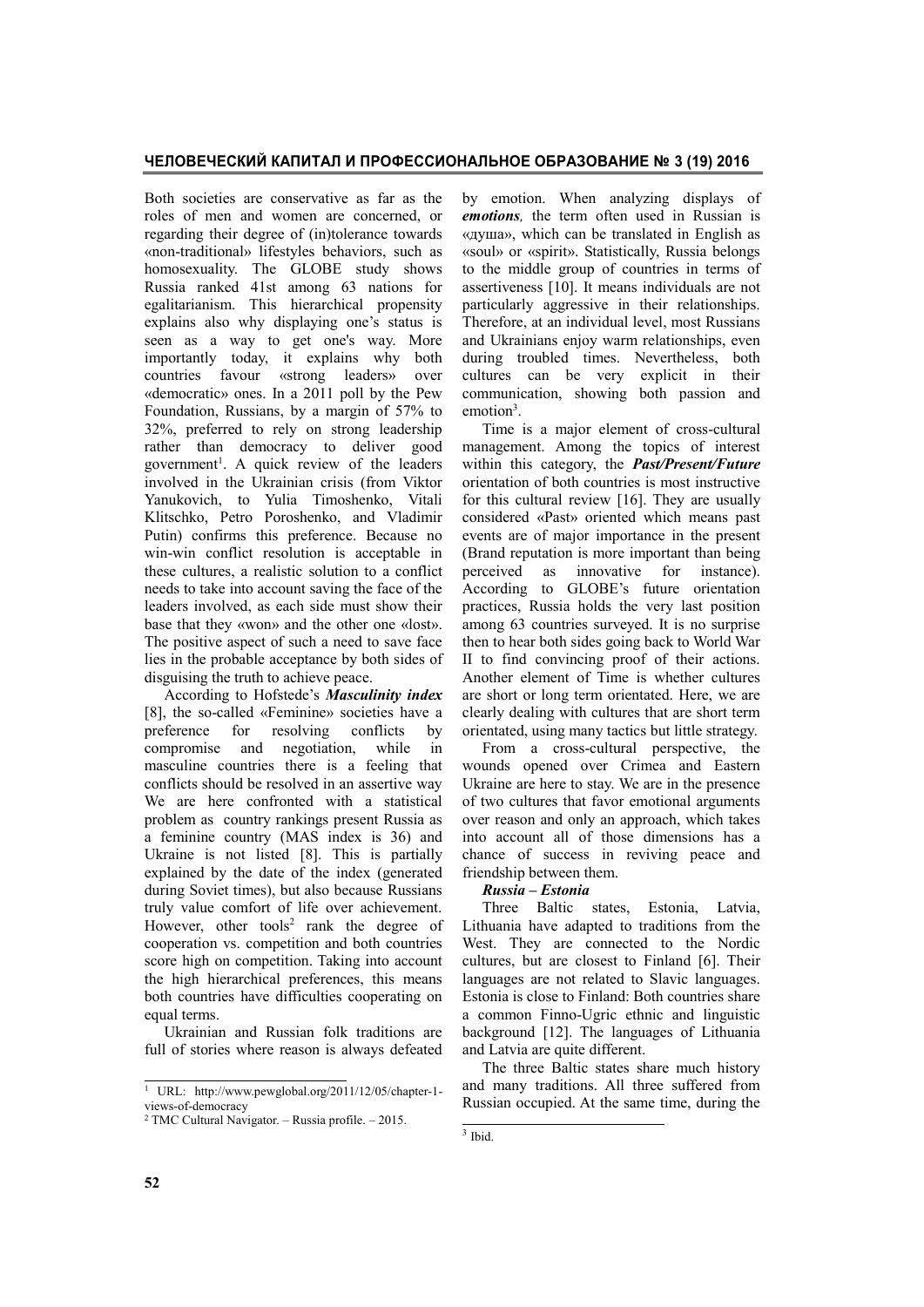Both societies are conservative as far as the roles of men and women are concerned, or regarding their degree of (in)tolerance towards «non-traditional» lifestyles behaviors, such as homosexuality. The GLOBE study shows Russia ranked 41st among 63 nations for egalitarianism. This hierarchical propensity explains also why displaying one's status is seen as a way to get one's way. More importantly today, it explains why both countries favour «strong leaders» over «democratic» ones. In a 2011 poll by the Pew Foundation, Russians, by a margin of 57% to 32%, preferred to rely on strong leadership rather than democracy to deliver good government<sup>1</sup>. A quick review of the leaders involved in the Ukrainian crisis (from Viktor Yanukovich, to Yulia Timoshenko, Vitali Klitschko, Petro Poroshenko, and Vladimir Putin) confirms this preference. Because no win-win conflict resolution is acceptable in these cultures, a realistic solution to a conflict needs to take into account saving the face of the leaders involved, as each side must show their base that they «won» and the other one «lost». The positive aspect of such a need to save face lies in the probable acceptance by both sides of disguising the truth to achieve peace.

According to Hofstede's *Masculinity index* [8], the so-called «Feminine» societies have a preference for resolving conflicts by compromise and negotiation, while in masculine countries there is a feeling that conflicts should be resolved in an assertive way We are here confronted with a statistical problem as country rankings present Russia as a feminine country (MAS index is 36) and Ukraine is not listed [8]. This is partially explained by the date of the index (generated during Soviet times), but also because Russians truly value comfort of life over achievement. However, other tools<sup>2</sup> rank the degree of cooperation vs. competition and both countries score high on competition. Taking into account the high hierarchical preferences, this means both countries have difficulties cooperating on equal terms.

Ukrainian and Russian folk traditions are full of stories where reason is always defeated by emotion. When analyzing displays of *emotions,* the term often used in Russian is «душа», which can be translated in English as «soul» or «spirit». Statistically, Russia belongs to the middle group of countries in terms of assertiveness [10]. It means individuals are not particularly aggressive in their relationships. Therefore, at an individual level, most Russians and Ukrainians enjoy warm relationships, even during troubled times. Nevertheless, both cultures can be very explicit in their communication, showing both passion and emotion<sup>3</sup>.

Time is a major element of cross-cultural management. Among the topics of interest within this category, the *Past/Present/Future* orientation of both countries is most instructive for this cultural review [16]. They are usually considered «Past» oriented which means past events are of major importance in the present (Brand reputation is more important than being perceived as innovative for instance). According to GLOBE's future orientation practices, Russia holds the very last position among 63 countries surveyed. It is no surprise then to hear both sides going back to World War II to find convincing proof of their actions. Another element of Time is whether cultures are short or long term orientated. Here, we are clearly dealing with cultures that are short term orientated, using many tactics but little strategy.

From a cross-cultural perspective, the wounds opened over Crimea and Eastern Ukraine are here to stay. We are in the presence of two cultures that favor emotional arguments over reason and only an approach, which takes into account all of those dimensions has a chance of success in reviving peace and friendship between them.

# *Russia – Estonia*

Three Baltic states, Estonia, Latvia, Lithuania have adapted to traditions from the West. They are connected to the Nordic cultures, but are closest to Finland [6]. Their languages are not related to Slavic languages. Estonia is close to Finland: Both countries share a common Finno-Ugric ethnic and linguistic background [12]. The languages of Lithuania and Latvia are quite different.

The three Baltic states share much history and many traditions. All three suffered from Russian occupied. At the same time, during the

 <sup>1</sup> URL: http://www.pewglobal.org/2011/12/05/chapter-1 views-of-democracy

<sup>2</sup> TMC Cultural Navigator. – Russia profile. – 2015.

 $\frac{1}{3}$  Ibid.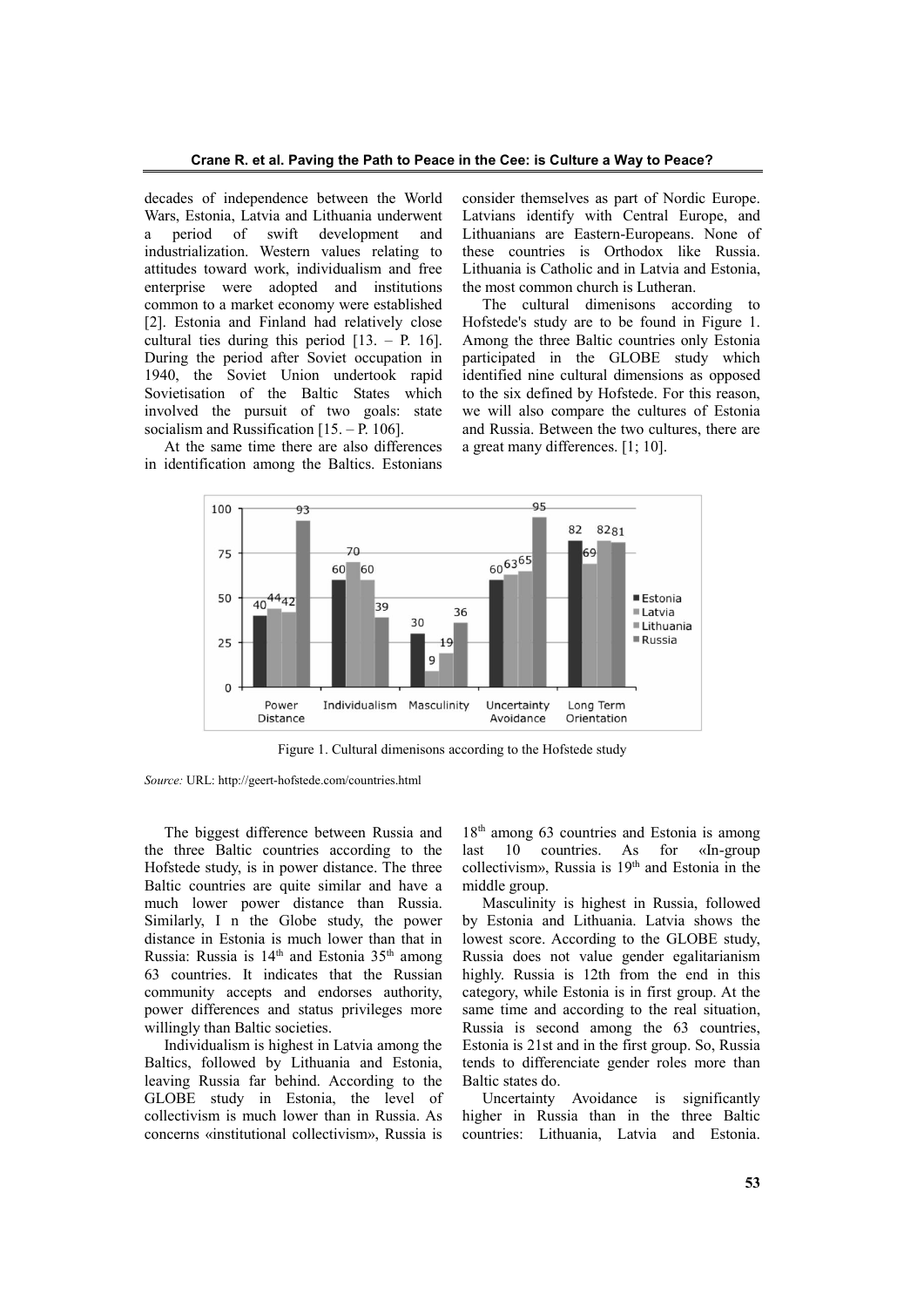decades of independence between the World Wars, Estonia, Latvia and Lithuania underwent a period of swift development and industrialization. Western values relating to attitudes toward work, individualism and free enterprise were adopted and institutions common to a market economy were established [2]. Estonia and Finland had relatively close cultural ties during this period [13. – P. 16]. During the period after Soviet occupation in 1940, the Soviet Union undertook rapid Sovietisation of the Baltic States which involved the pursuit of two goals: state socialism and Russification [15. – P. 106].

At the same time there are also differences in identification among the Baltics. Estonians consider themselves as part of Nordic Europe. Latvians identify with Central Europe, and Lithuanians are Eastern-Europeans. None of these countries is Orthodox like Russia. Lithuania is Catholic and in Latvia and Estonia, the most common church is Lutheran.

The cultural dimenisons according to Hofstede's study are to be found in Figure 1. Among the three Baltic countries only Estonia participated in the GLOBE study which identified nine cultural dimensions as opposed to the six defined by Hofstede. For this reason, we will also compare the cultures of Estonia and Russia. Between the two cultures, there are a great many differences. [1; 10].



Figure 1. Cultural dimenisons according to the Hofstede study

The biggest difference between Russia and the three Baltic countries according to the Hofstede study, is in power distance. The three Baltic countries are quite similar and have a much lower power distance than Russia. Similarly, I n the Globe study, the power distance in Estonia is much lower than that in Russia: Russia is 14<sup>th</sup> and Estonia 35<sup>th</sup> among 63 countries. It indicates that the Russian community accepts and endorses authority, power differences and status privileges more willingly than Baltic societies.

Individualism is highest in Latvia among the Baltics, followed by Lithuania and Estonia, leaving Russia far behind. According to the GLOBE study in Estonia, the level of collectivism is much lower than in Russia. As concerns «institutional collectivism», Russia is 18<sup>th</sup> among 63 countries and Estonia is among last 10 countries. As for «In-group collectivism», Russia is 19th and Estonia in the middle group.

Masculinity is highest in Russia, followed by Estonia and Lithuania. Latvia shows the lowest score. According to the GLOBE study, Russia does not value gender egalitarianism highly. Russia is 12th from the end in this category, while Estonia is in first group. At the same time and according to the real situation, Russia is second among the 63 countries, Estonia is 21st and in the first group. So, Russia tends to differenciate gender roles more than Baltic states do.

Uncertainty Avoidance is significantly higher in Russia than in the three Baltic countries: Lithuania, Latvia and Estonia.

*Source:* URL: http://geert-hofstede.com/countries.html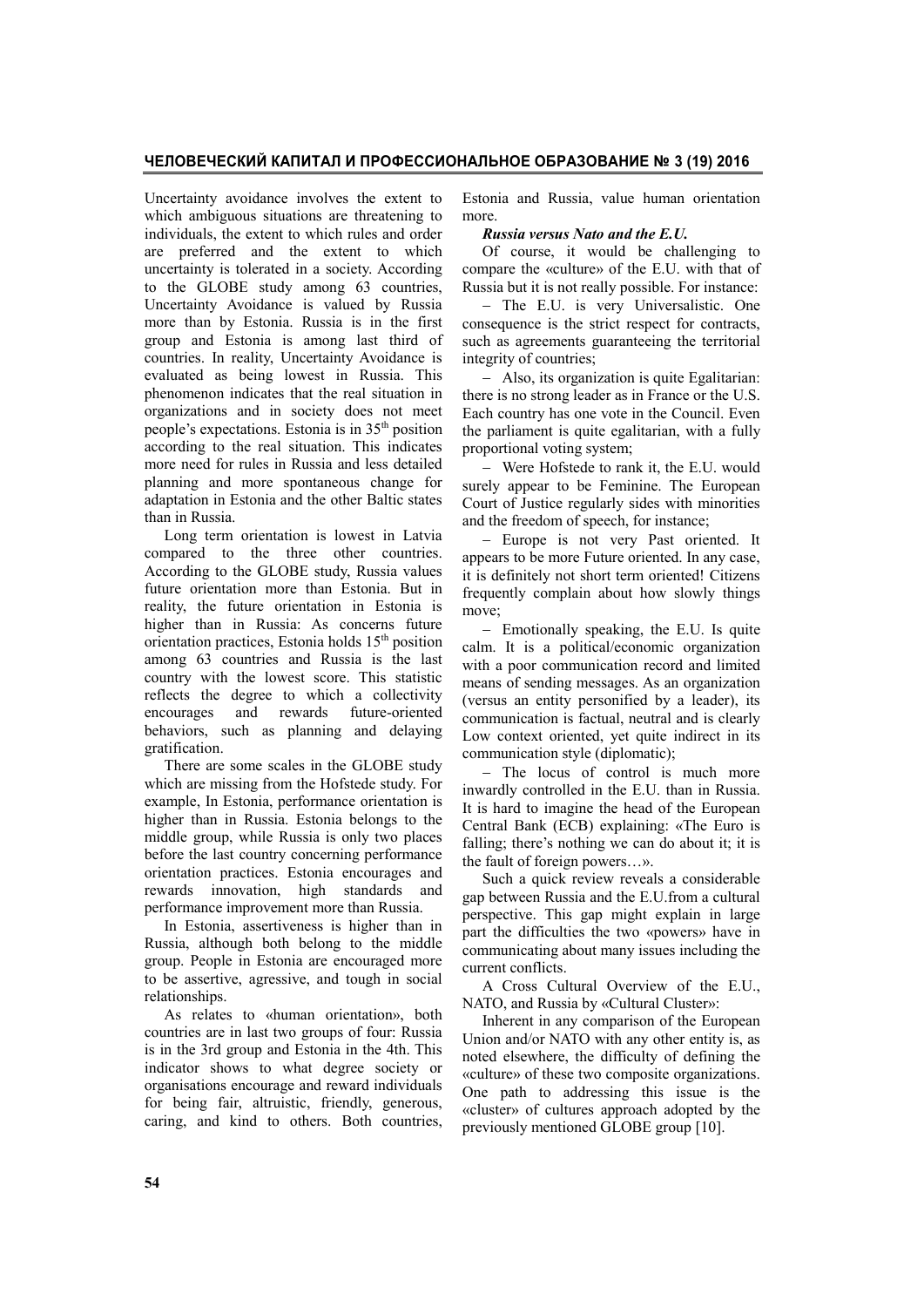## **ЧЕЛОВЕЧЕСКИЙ КАПИТАЛ И ПРОФЕССИОНАЛЬНОЕ ОБРАЗОВАНИЕ № 3 (19) 2016**

Uncertainty avoidance involves the extent to which ambiguous situations are threatening to individuals, the extent to which rules and order are preferred and the extent to which uncertainty is tolerated in a society. According to the GLOBE study among 63 countries, Uncertainty Avoidance is valued by Russia more than by Estonia. Russia is in the first group and Estonia is among last third of countries. In reality, Uncertainty Avoidance is evaluated as being lowest in Russia. This phenomenon indicates that the real situation in organizations and in society does not meet people's expectations. Estonia is in 35th position according to the real situation. This indicates more need for rules in Russia and less detailed planning and more spontaneous change for adaptation in Estonia and the other Baltic states than in Russia.

Long term orientation is lowest in Latvia compared to the three other countries. According to the GLOBE study, Russia values future orientation more than Estonia. But in reality, the future orientation in Estonia is higher than in Russia: As concerns future orientation practices, Estonia holds 15<sup>th</sup> position among 63 countries and Russia is the last country with the lowest score. This statistic reflects the degree to which a collectivity encourages and rewards future-oriented behaviors, such as planning and delaying gratification.

There are some scales in the GLOBE study which are missing from the Hofstede study. For example, In Estonia, performance orientation is higher than in Russia. Estonia belongs to the middle group, while Russia is only two places before the last country concerning performance orientation practices. Estonia encourages and rewards innovation, high standards and performance improvement more than Russia.

In Estonia, assertiveness is higher than in Russia, although both belong to the middle group. People in Estonia are encouraged more to be assertive, agressive, and tough in social relationships.

As relates to «human orientation», both countries are in last two groups of four: Russia is in the 3rd group and Estonia in the 4th. This indicator shows to what degree society or organisations encourage and reward individuals for being fair, altruistic, friendly, generous, caring, and kind to others. Both countries,

Estonia and Russia, value human orientation more.

*Russia versus Nato and the E.U.*

Of course, it would be challenging to compare the «culture» of the E.U. with that of Russia but it is not really possible. For instance:

- The E.U. is very Universalistic. One consequence is the strict respect for contracts, such as agreements guaranteeing the territorial integrity of countries;

 Also, its organization is quite Egalitarian: there is no strong leader as in France or the U.S. Each country has one vote in the Council. Even the parliament is quite egalitarian, with a fully proportional voting system;

 Were Hofstede to rank it, the E.U. would surely appear to be Feminine. The European Court of Justice regularly sides with minorities and the freedom of speech, for instance;

- Europe is not very Past oriented. It appears to be more Future oriented. In any case, it is definitely not short term oriented! Citizens frequently complain about how slowly things move;

- Emotionally speaking, the E.U. Is quite calm. It is a political/economic organization with a poor communication record and limited means of sending messages. As an organization (versus an entity personified by a leader), its communication is factual, neutral and is clearly Low context oriented, yet quite indirect in its communication style (diplomatic);

- The locus of control is much more inwardly controlled in the E.U. than in Russia. It is hard to imagine the head of the European Central Bank (ECB) explaining: «The Euro is falling; there's nothing we can do about it; it is the fault of foreign powers…».

Such a quick review reveals a considerable gap between Russia and the E.U.from a cultural perspective. This gap might explain in large part the difficulties the two «powers» have in communicating about many issues including the current conflicts.

A Cross Cultural Overview of the E.U., NATO, and Russia by «Cultural Cluster»:

Inherent in any comparison of the European Union and/or NATO with any other entity is, as noted elsewhere, the difficulty of defining the «culture» of these two composite organizations. One path to addressing this issue is the «cluster» of cultures approach adopted by the previously mentioned GLOBE group [10].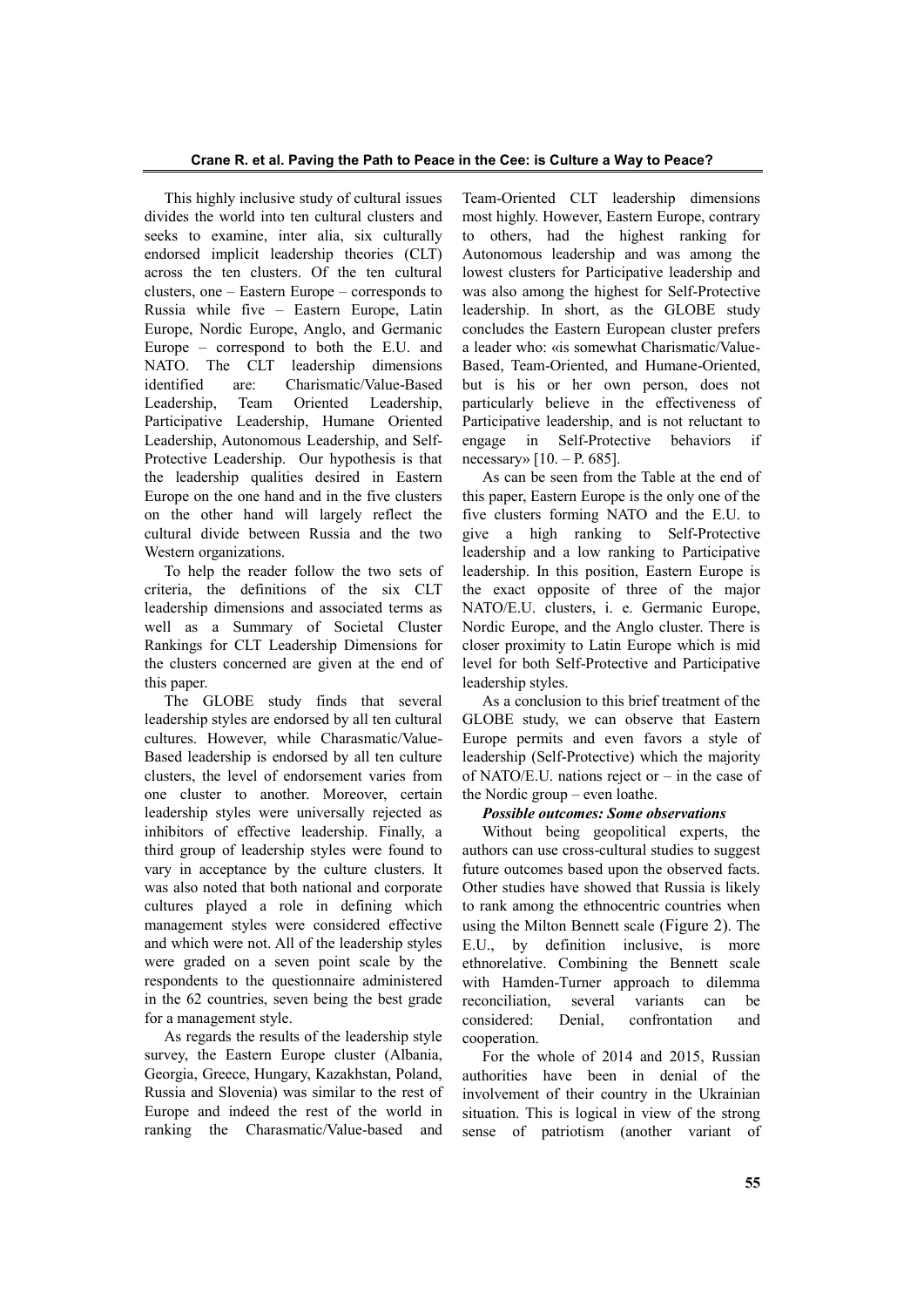This highly inclusive study of cultural issues divides the world into ten cultural clusters and seeks to examine, inter alia, six culturally endorsed implicit leadership theories (CLT) across the ten clusters. Of the ten cultural clusters, one – Eastern Europe – corresponds to Russia while five – Eastern Europe, Latin Europe, Nordic Europe, Anglo, and Germanic Europe – correspond to both the E.U. and NATO. The CLT leadership dimensions identified are: Charismatic/Value-Based Leadership, Team Oriented Leadership, Participative Leadership, Humane Oriented Leadership, Autonomous Leadership, and Self-Protective Leadership. Our hypothesis is that the leadership qualities desired in Eastern Europe on the one hand and in the five clusters on the other hand will largely reflect the cultural divide between Russia and the two Western organizations.

To help the reader follow the two sets of criteria, the definitions of the six CLT leadership dimensions and associated terms as well as a Summary of Societal Cluster Rankings for CLT Leadership Dimensions for the clusters concerned are given at the end of this paper.

The GLOBE study finds that several leadership styles are endorsed by all ten cultural cultures. However, while Charasmatic/Value-Based leadership is endorsed by all ten culture clusters, the level of endorsement varies from one cluster to another. Moreover, certain leadership styles were universally rejected as inhibitors of effective leadership. Finally, a third group of leadership styles were found to vary in acceptance by the culture clusters. It was also noted that both national and corporate cultures played a role in defining which management styles were considered effective and which were not. All of the leadership styles were graded on a seven point scale by the respondents to the questionnaire administered in the 62 countries, seven being the best grade for a management style.

As regards the results of the leadership style survey, the Eastern Europe cluster (Albania, Georgia, Greece, Hungary, Kazakhstan, Poland, Russia and Slovenia) was similar to the rest of Europe and indeed the rest of the world in ranking the Charasmatic/Value-based and

Team-Oriented CLT leadership dimensions most highly. However, Eastern Europe, contrary to others, had the highest ranking for Autonomous leadership and was among the lowest clusters for Participative leadership and was also among the highest for Self-Protective leadership. In short, as the GLOBE study concludes the Eastern European cluster prefers a leader who: «is somewhat Charismatic/Value-Based, Team-Oriented, and Humane-Oriented, but is his or her own person, does not particularly believe in the effectiveness of Participative leadership, and is not reluctant to engage in Self-Protective behaviors if necessary»  $[10. - P. 685]$ .

As can be seen from the Table at the end of this paper, Eastern Europe is the only one of the five clusters forming NATO and the E.U. to give a high ranking to Self-Protective leadership and a low ranking to Participative leadership. In this position, Eastern Europe is the exact opposite of three of the major NATO/E.U. clusters, i. e. Germanic Europe, Nordic Europe, and the Anglo cluster. There is closer proximity to Latin Europe which is mid level for both Self-Protective and Participative leadership styles.

As a conclusion to this brief treatment of the GLOBE study, we can observe that Eastern Europe permits and even favors a style of leadership (Self-Protective) which the majority of NATO/E.U. nations reject or – in the case of the Nordic group – even loathe.

# *Possible outcomes: Some observations*

Without being geopolitical experts, the authors can use cross-cultural studies to suggest future outcomes based upon the observed facts. Other studies have showed that Russia is likely to rank among the ethnocentric countries when using the Milton Bennett scale (Figure 2). The E.U., by definition inclusive, is more ethnorelative. Combining the Bennett scale with Hamden-Turner approach to dilemma reconciliation, several variants can be considered: Denial, confrontation and cooperation.

For the whole of 2014 and 2015, Russian authorities have been in denial of the involvement of their country in the Ukrainian situation. This is logical in view of the strong sense of patriotism (another variant of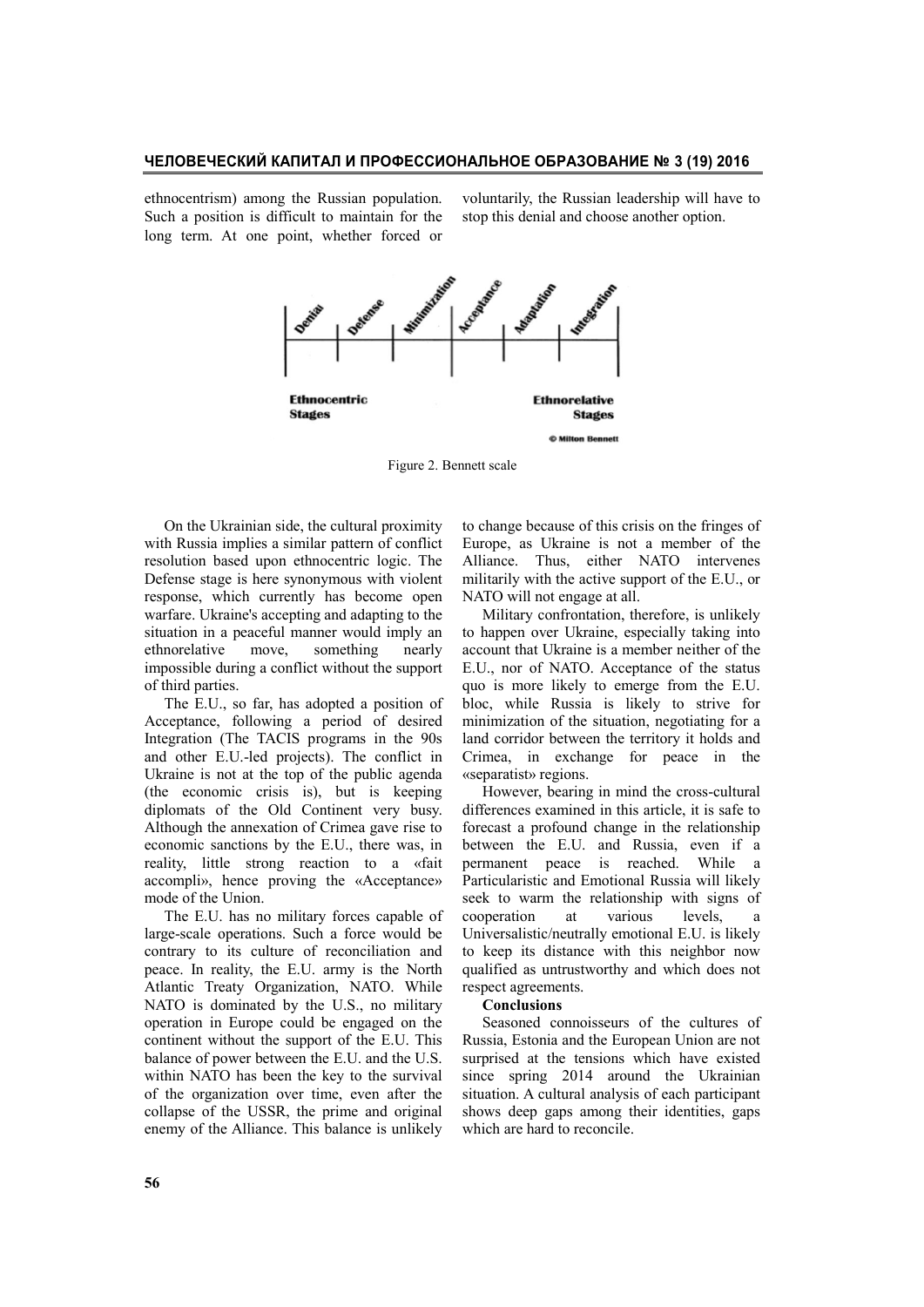ethnocentrism) among the Russian population. Such a position is difficult to maintain for the long term. At one point, whether forced or

voluntarily, the Russian leadership will have to stop this denial and choose another option.



Figure 2. Bennett scale

On the Ukrainian side, the cultural proximity with Russia implies a similar pattern of conflict resolution based upon ethnocentric logic. The Defense stage is here synonymous with violent response, which currently has become open warfare. Ukraine's accepting and adapting to the situation in a peaceful manner would imply an ethnorelative move, something nearly impossible during a conflict without the support of third parties.

The E.U., so far, has adopted a position of Acceptance, following a period of desired Integration (The TACIS programs in the 90s and other E.U.-led projects). The conflict in Ukraine is not at the top of the public agenda (the economic crisis is), but is keeping diplomats of the Old Continent very busy. Although the annexation of Crimea gave rise to economic sanctions by the E.U., there was, in reality, little strong reaction to a «fait accompli», hence proving the «Acceptance» mode of the Union.

The E.U. has no military forces capable of large-scale operations. Such a force would be contrary to its culture of reconciliation and peace. In reality, the E.U. army is the North Atlantic Treaty Organization, NATO. While NATO is dominated by the U.S., no military operation in Europe could be engaged on the continent without the support of the E.U. This balance of power between the E.U. and the U.S. within NATO has been the key to the survival of the organization over time, even after the collapse of the USSR, the prime and original enemy of the Alliance. This balance is unlikely

to change because of this crisis on the fringes of Europe, as Ukraine is not a member of the Alliance. Thus, either NATO intervenes militarily with the active support of the E.U., or NATO will not engage at all.

Military confrontation, therefore, is unlikely to happen over Ukraine, especially taking into account that Ukraine is a member neither of the E.U., nor of NATO. Acceptance of the status quo is more likely to emerge from the E.U. bloc, while Russia is likely to strive for minimization of the situation, negotiating for a land corridor between the territory it holds and Crimea, in exchange for peace in the «separatist» regions.

However, bearing in mind the cross-cultural differences examined in this article, it is safe to forecast a profound change in the relationship between the E.U. and Russia, even if a permanent peace is reached. While a Particularistic and Emotional Russia will likely seek to warm the relationship with signs of cooperation at various levels, a Universalistic/neutrally emotional E.U. is likely to keep its distance with this neighbor now qualified as untrustworthy and which does not respect agreements.

### **Conclusions**

Seasoned connoisseurs of the cultures of Russia, Estonia and the European Union are not surprised at the tensions which have existed since spring 2014 around the Ukrainian situation. A cultural analysis of each participant shows deep gaps among their identities, gaps which are hard to reconcile.